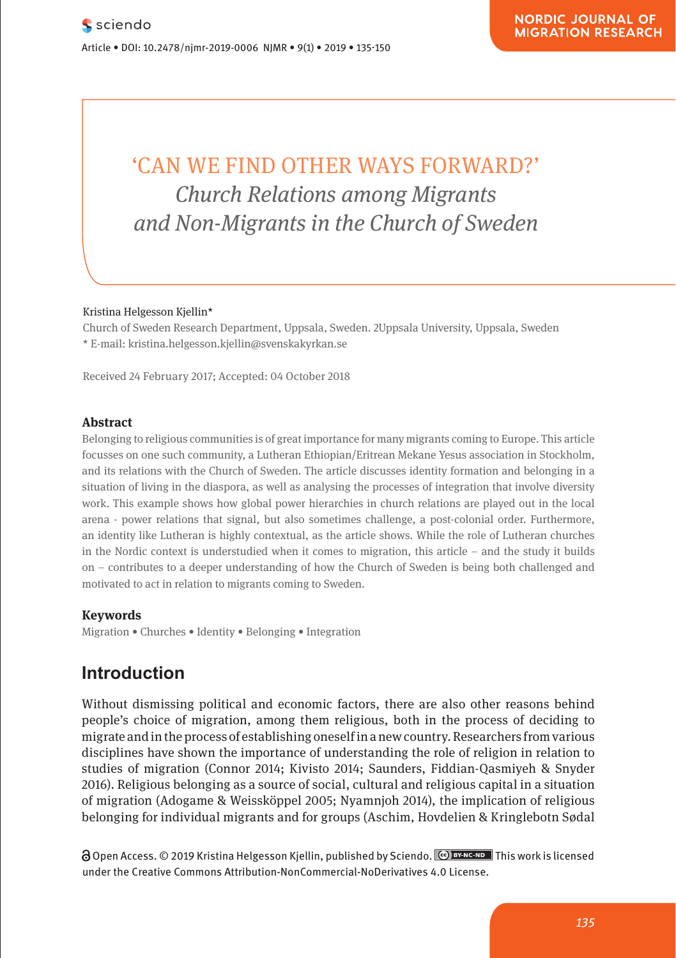# $\sim$  'CAN WE FIND OTHER WAYS FORWARD?' **Church Relations among Migrants** *and Non-Migrants in the Church of Sweden* and Non-Migrant<sup></sup> Was interestinguille in the charge of order

### Kristina Helgesson Kjellin\* **Comparison**

Research Article

Church of Sweden Research Department, Uppsala, Sweden. 2Uppsala University, Uppsala, Sweden Pharmakologische und mentale Selbstveränderung im  $\star$  E-mail: kristina.helgesson.kjellin@svenskakyrkan.se

**Pharmacological and Mental Self-transformation in Ethic** 

Received 24 February 2017; Accepted: 04 October 2018

#### **Abstract**

Belonging to religious communities is of great importance for many migrants coming to Europe. This article focusses on one such community, a Lutheran Ethiopian/Eritrean Mekane Yesus association in Stockholm, and its relations with the Church of Sweden. The article discusses identity formation and belonging in a material control of Sweden. The article discusses identity formation and belonging in a situation of living in the diaspora, as well as analysing the processes of integration that involve diversity work. This example shows how global power hierarchies in church relations are played out in the local work. This example shows how global power hierarchies in church relations are played out in the local arena - power relations that signal, but also sometimes challenge, a post-colonial order. Furthermore, an identity like Lutheran is highly contextual, as the article shows. While the role of Lutheran churches in the Nordic context is understudied when it comes to migration, this article – and the study it builds in the Nordic context is understudied when it comes to migration, this article – and the study it builds on – contributes to a deeper understanding of how the Church of Sweden is being both challenged and motivated to act in relation to migrants coming to Sweden.

#### **Keywords**

Journal xyz 2017; 1 (2): 122–135

Migration • Churches • Identity • Belonging • Integration<br>**1** 

#### **Introduction** The main investigation also includes the period between the entry into force and

Without dismissing political and economic factors, there are also other reasons behind people's choice of migration, among them religious, both in the process of deciding to migrate and in the process of establishing oneself in a new country. Researchers from various disciplines have shown the importance of understanding the role of religion in relation to studies of migration (Connor 2014; Kivisto 2014; Saunders, Fiddian-Qasmiyeh & Snyder 2016). Religious belonging as a source of social, cultural and religious capital in a situation of migration (Adogame & Weissköppel 2005; Nyamnjoh 2014), the implication of religious **Paul Place in the paper of mateurite of Marine Biology, National Taiwan Ocean University, National Taiwan Ocean University of Marine Biology, National Taiwan Ocean University, 2 Pei-Ning Debt in Sødal University, 2 Pei-Ni** Road Keelung 20224, Taiwan (R.O.C), e-mail: email@mail.com

**a** Open Access. © 2019 Kristina Helgesson Kjellin, published by Sciendo. **Columbus** This work is licensed under the Creative Commons Attribution-NonCommercial-NoDerivatives 4.0 License.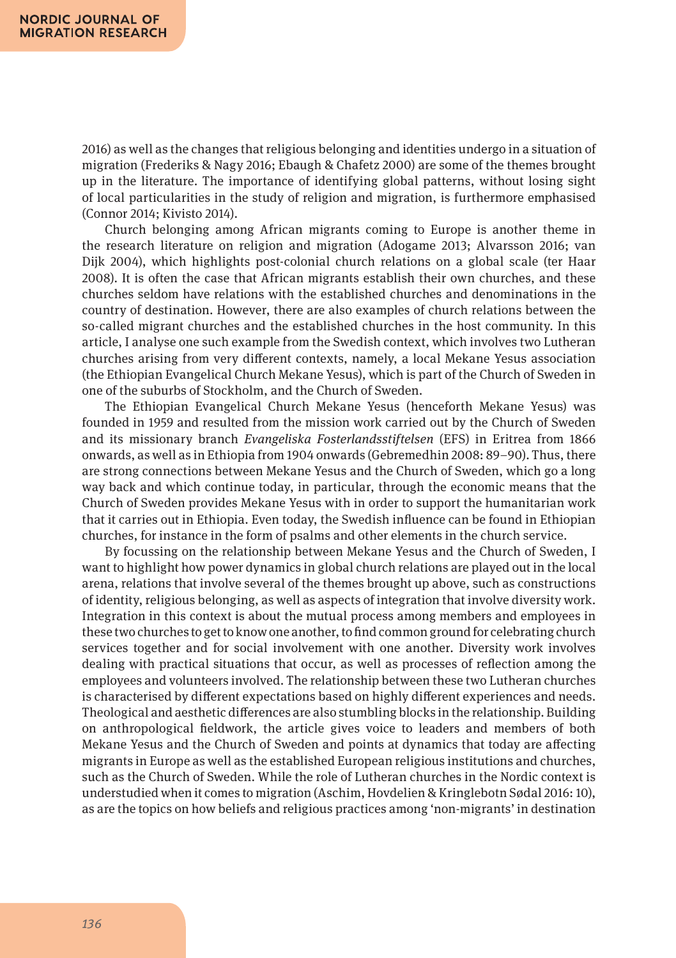2016) as well as the changes that religious belonging and identities undergo in a situation of migration (Frederiks & Nagy 2016; Ebaugh & Chafetz 2000) are some of the themes brought up in the literature. The importance of identifying global patterns, without losing sight of local particularities in the study of religion and migration, is furthermore emphasised (Connor 2014; Kivisto 2014).

Church belonging among African migrants coming to Europe is another theme in the research literature on religion and migration (Adogame 2013; Alvarsson 2016; van Dijk 2004), which highlights post-colonial church relations on a global scale (ter Haar 2008). It is often the case that African migrants establish their own churches, and these churches seldom have relations with the established churches and denominations in the country of destination. However, there are also examples of church relations between the so-called migrant churches and the established churches in the host community. In this article, I analyse one such example from the Swedish context, which involves two Lutheran churches arising from very different contexts, namely, a local Mekane Yesus association (the Ethiopian Evangelical Church Mekane Yesus), which is part of the Church of Sweden in one of the suburbs of Stockholm, and the Church of Sweden.

The Ethiopian Evangelical Church Mekane Yesus (henceforth Mekane Yesus) was founded in 1959 and resulted from the mission work carried out by the Church of Sweden and its missionary branch *Evangeliska Fosterlandsstiftelsen* (EFS) in Eritrea from 1866 onwards, as well as in Ethiopia from 1904 onwards (Gebremedhin 2008: 89–90). Thus, there are strong connections between Mekane Yesus and the Church of Sweden, which go a long way back and which continue today, in particular, through the economic means that the Church of Sweden provides Mekane Yesus with in order to support the humanitarian work that it carries out in Ethiopia. Even today, the Swedish influence can be found in Ethiopian churches, for instance in the form of psalms and other elements in the church service.

By focussing on the relationship between Mekane Yesus and the Church of Sweden, I want to highlight how power dynamics in global church relations are played out in the local arena, relations that involve several of the themes brought up above, such as constructions of identity, religious belonging, as well as aspects of integration that involve diversity work. Integration in this context is about the mutual process among members and employees in these two churches to get to know one another, to find common ground for celebrating church services together and for social involvement with one another. Diversity work involves dealing with practical situations that occur, as well as processes of reflection among the employees and volunteers involved. The relationship between these two Lutheran churches is characterised by different expectations based on highly different experiences and needs. Theological and aesthetic differences are also stumbling blocks in the relationship. Building on anthropological fieldwork, the article gives voice to leaders and members of both Mekane Yesus and the Church of Sweden and points at dynamics that today are affecting migrants in Europe as well as the established European religious institutions and churches, such as the Church of Sweden. While the role of Lutheran churches in the Nordic context is understudied when it comes to migration (Aschim, Hovdelien & Kringlebotn Sødal 2016: 10), as are the topics on how beliefs and religious practices among 'non-migrants' in destination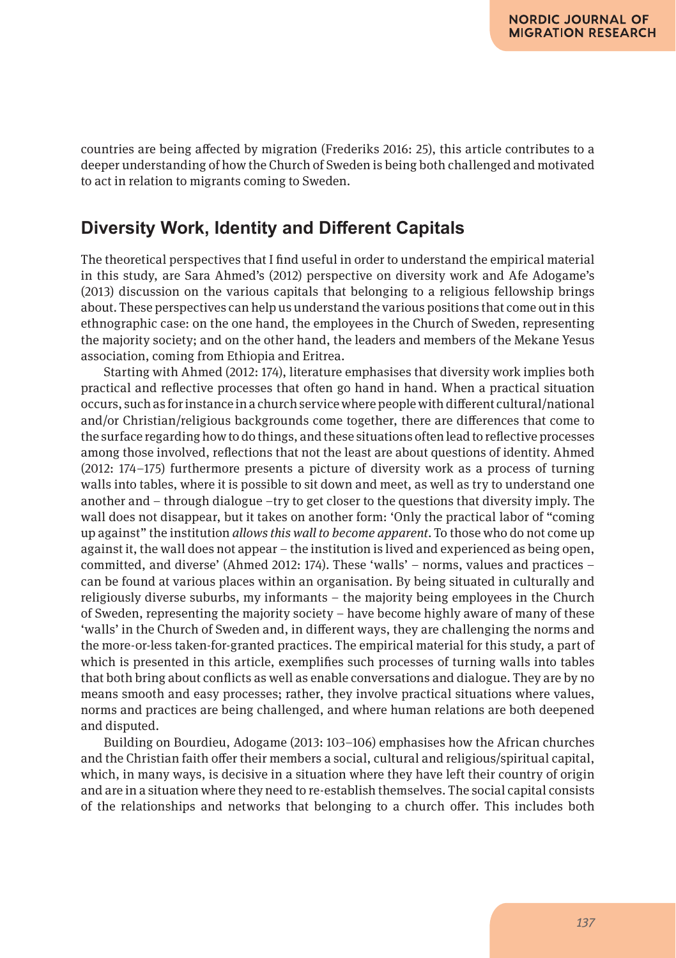countries are being affected by migration (Frederiks 2016: 25), this article contributes to a deeper understanding of how the Church of Sweden is being both challenged and motivated to act in relation to migrants coming to Sweden.

# **Diversity Work, Identity and Different Capitals**

The theoretical perspectives that I find useful in order to understand the empirical material in this study, are Sara Ahmed's (2012) perspective on diversity work and Afe Adogame's (2013) discussion on the various capitals that belonging to a religious fellowship brings about. These perspectives can help us understand the various positions that come out in this ethnographic case: on the one hand, the employees in the Church of Sweden, representing the majority society; and on the other hand, the leaders and members of the Mekane Yesus association, coming from Ethiopia and Eritrea.

Starting with Ahmed (2012: 174), literature emphasises that diversity work implies both practical and reflective processes that often go hand in hand. When a practical situation occurs, such as for instance in a church service where people with different cultural/national and/or Christian/religious backgrounds come together, there are differences that come to the surface regarding how to do things, and these situations often lead to reflective processes among those involved, reflections that not the least are about questions of identity. Ahmed (2012: 174–175) furthermore presents a picture of diversity work as a process of turning walls into tables, where it is possible to sit down and meet, as well as try to understand one another and – through dialogue –try to get closer to the questions that diversity imply. The wall does not disappear, but it takes on another form: 'Only the practical labor of "coming up against" the institution *allows this wall to become apparent*. To those who do not come up against it, the wall does not appear – the institution is lived and experienced as being open, committed, and diverse' (Ahmed 2012: 174). These 'walls' – norms, values and practices – can be found at various places within an organisation. By being situated in culturally and religiously diverse suburbs, my informants – the majority being employees in the Church of Sweden, representing the majority society – have become highly aware of many of these 'walls' in the Church of Sweden and, in different ways, they are challenging the norms and the more-or-less taken-for-granted practices. The empirical material for this study, a part of which is presented in this article, exemplifies such processes of turning walls into tables that both bring about conflicts as well as enable conversations and dialogue. They are by no means smooth and easy processes; rather, they involve practical situations where values, norms and practices are being challenged, and where human relations are both deepened and disputed.

Building on Bourdieu, Adogame (2013: 103–106) emphasises how the African churches and the Christian faith offer their members a social, cultural and religious/spiritual capital, which, in many ways, is decisive in a situation where they have left their country of origin and are in a situation where they need to re-establish themselves. The social capital consists of the relationships and networks that belonging to a church offer. This includes both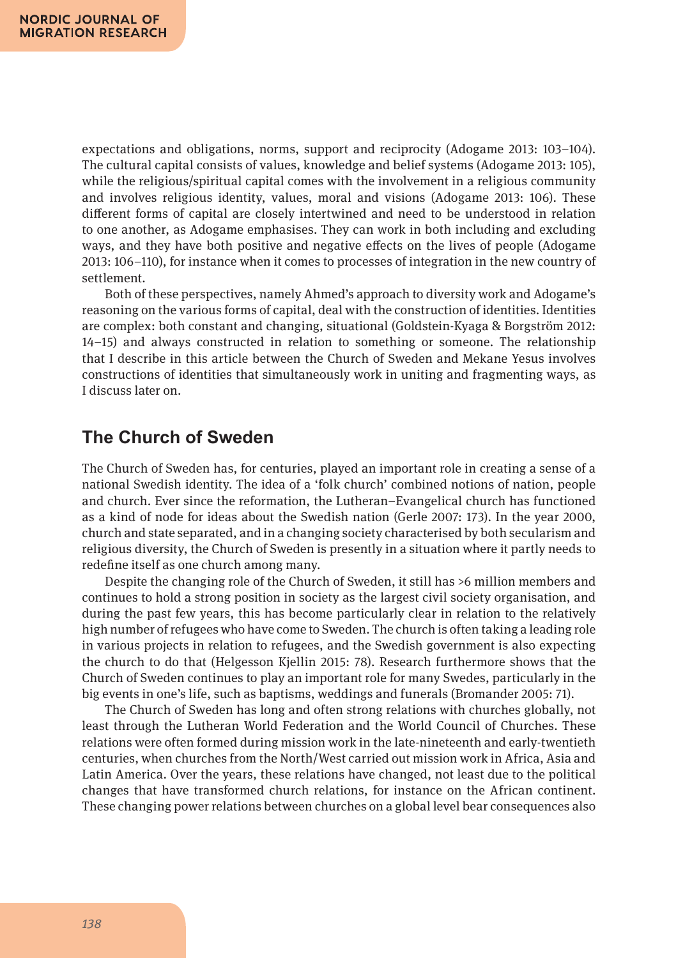expectations and obligations, norms, support and reciprocity (Adogame 2013: 103–104). The cultural capital consists of values, knowledge and belief systems (Adogame 2013: 105), while the religious/spiritual capital comes with the involvement in a religious community and involves religious identity, values, moral and visions (Adogame 2013: 106). These different forms of capital are closely intertwined and need to be understood in relation to one another, as Adogame emphasises. They can work in both including and excluding ways, and they have both positive and negative effects on the lives of people (Adogame 2013: 106–110), for instance when it comes to processes of integration in the new country of settlement.

Both of these perspectives, namely Ahmed's approach to diversity work and Adogame's reasoning on the various forms of capital, deal with the construction of identities. Identities are complex: both constant and changing, situational (Goldstein-Kyaga & Borgström 2012: 14–15) and always constructed in relation to something or someone. The relationship that I describe in this article between the Church of Sweden and Mekane Yesus involves constructions of identities that simultaneously work in uniting and fragmenting ways, as I discuss later on.

# **The Church of Sweden**

The Church of Sweden has, for centuries, played an important role in creating a sense of a national Swedish identity. The idea of a 'folk church' combined notions of nation, people and church. Ever since the reformation, the Lutheran–Evangelical church has functioned as a kind of node for ideas about the Swedish nation (Gerle 2007: 173). In the year 2000, church and state separated, and in a changing society characterised by both secularism and religious diversity, the Church of Sweden is presently in a situation where it partly needs to redefine itself as one church among many.

Despite the changing role of the Church of Sweden, it still has >6 million members and continues to hold a strong position in society as the largest civil society organisation, and during the past few years, this has become particularly clear in relation to the relatively high number of refugees who have come to Sweden. The church is often taking a leading role in various projects in relation to refugees, and the Swedish government is also expecting the church to do that (Helgesson Kjellin 2015: 78). Research furthermore shows that the Church of Sweden continues to play an important role for many Swedes, particularly in the big events in one's life, such as baptisms, weddings and funerals (Bromander 2005: 71).

The Church of Sweden has long and often strong relations with churches globally, not least through the Lutheran World Federation and the World Council of Churches. These relations were often formed during mission work in the late-nineteenth and early-twentieth centuries, when churches from the North/West carried out mission work in Africa, Asia and Latin America. Over the years, these relations have changed, not least due to the political changes that have transformed church relations, for instance on the African continent. These changing power relations between churches on a global level bear consequences also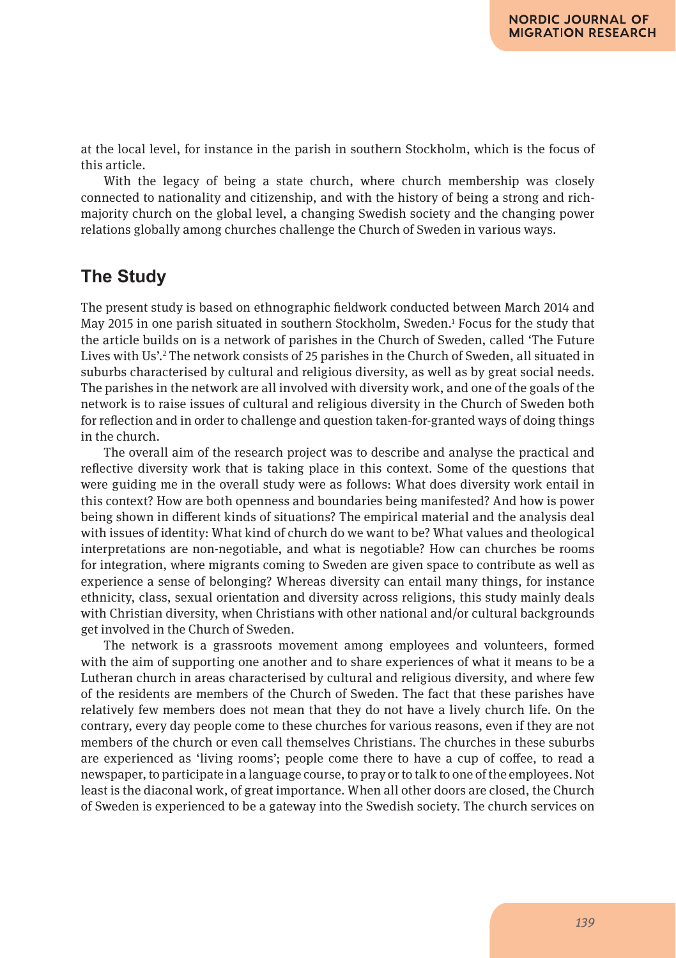at the local level, for instance in the parish in southern Stockholm, which is the focus of this article.

With the legacy of being a state church, where church membership was closely connected to nationality and citizenship, and with the history of being a strong and richmajority church on the global level, a changing Swedish society and the changing power relations globally among churches challenge the Church of Sweden in various ways.

# **The Study**

The present study is based on ethnographic fieldwork conducted between March 2014 and May 2015 in one parish situated in southern Stockholm, Sweden.1 Focus for the study that the article builds on is a network of parishes in the Church of Sweden, called 'The Future Lives with Us'.<sup>2</sup> The network consists of 25 parishes in the Church of Sweden, all situated in suburbs characterised by cultural and religious diversity, as well as by great social needs. The parishes in the network are all involved with diversity work, and one of the goals of the network is to raise issues of cultural and religious diversity in the Church of Sweden both for reflection and in order to challenge and question taken-for-granted ways of doing things in the church.

The overall aim of the research project was to describe and analyse the practical and reflective diversity work that is taking place in this context. Some of the questions that were guiding me in the overall study were as follows: What does diversity work entail in this context? How are both openness and boundaries being manifested? And how is power being shown in different kinds of situations? The empirical material and the analysis deal with issues of identity: What kind of church do we want to be? What values and theological interpretations are non-negotiable, and what is negotiable? How can churches be rooms for integration, where migrants coming to Sweden are given space to contribute as well as experience a sense of belonging? Whereas diversity can entail many things, for instance ethnicity, class, sexual orientation and diversity across religions, this study mainly deals with Christian diversity, when Christians with other national and/or cultural backgrounds get involved in the Church of Sweden.

The network is a grassroots movement among employees and volunteers, formed with the aim of supporting one another and to share experiences of what it means to be a Lutheran church in areas characterised by cultural and religious diversity, and where few of the residents are members of the Church of Sweden. The fact that these parishes have relatively few members does not mean that they do not have a lively church life. On the contrary, every day people come to these churches for various reasons, even if they are not members of the church or even call themselves Christians. The churches in these suburbs are experienced as 'living rooms'; people come there to have a cup of coffee, to read a newspaper, to participate in a language course, to pray or to talk to one of the employees. Not least is the diaconal work, of great importance. When all other doors are closed, the Church of Sweden is experienced to be a gateway into the Swedish society. The church services on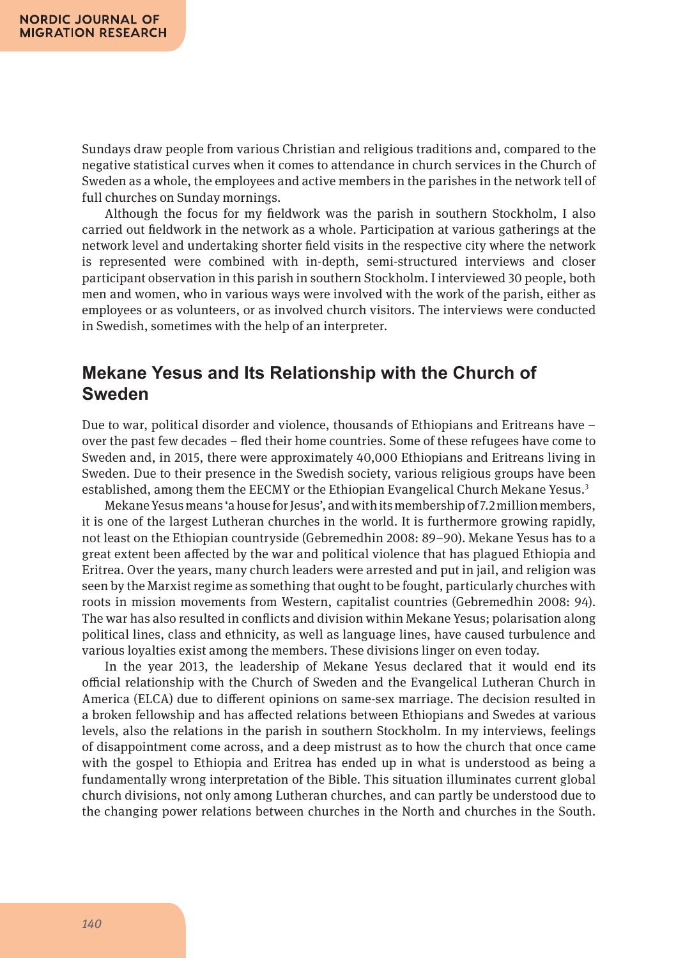Sundays draw people from various Christian and religious traditions and, compared to the negative statistical curves when it comes to attendance in church services in the Church of Sweden as a whole, the employees and active members in the parishes in the network tell of full churches on Sunday mornings.

Although the focus for my fieldwork was the parish in southern Stockholm, I also carried out fieldwork in the network as a whole. Participation at various gatherings at the network level and undertaking shorter field visits in the respective city where the network is represented were combined with in-depth, semi-structured interviews and closer participant observation in this parish in southern Stockholm. I interviewed 30 people, both men and women, who in various ways were involved with the work of the parish, either as employees or as volunteers, or as involved church visitors. The interviews were conducted in Swedish, sometimes with the help of an interpreter.

### **Mekane Yesus and Its Relationship with the Church of Sweden**

Due to war, political disorder and violence, thousands of Ethiopians and Eritreans have – over the past few decades – fled their home countries. Some of these refugees have come to Sweden and, in 2015, there were approximately 40,000 Ethiopians and Eritreans living in Sweden. Due to their presence in the Swedish society, various religious groups have been established, among them the EECMY or the Ethiopian Evangelical Church Mekane Yesus.3

Mekane Yesus means 'a house for Jesus', and with its membership of 7.2 million members, it is one of the largest Lutheran churches in the world. It is furthermore growing rapidly, not least on the Ethiopian countryside (Gebremedhin 2008: 89–90). Mekane Yesus has to a great extent been affected by the war and political violence that has plagued Ethiopia and Eritrea. Over the years, many church leaders were arrested and put in jail, and religion was seen by the Marxist regime as something that ought to be fought, particularly churches with roots in mission movements from Western, capitalist countries (Gebremedhin 2008: 94). The war has also resulted in conflicts and division within Mekane Yesus; polarisation along political lines, class and ethnicity, as well as language lines, have caused turbulence and various loyalties exist among the members. These divisions linger on even today.

In the year 2013, the leadership of Mekane Yesus declared that it would end its official relationship with the Church of Sweden and the Evangelical Lutheran Church in America (ELCA) due to different opinions on same-sex marriage. The decision resulted in a broken fellowship and has affected relations between Ethiopians and Swedes at various levels, also the relations in the parish in southern Stockholm. In my interviews, feelings of disappointment come across, and a deep mistrust as to how the church that once came with the gospel to Ethiopia and Eritrea has ended up in what is understood as being a fundamentally wrong interpretation of the Bible. This situation illuminates current global church divisions, not only among Lutheran churches, and can partly be understood due to the changing power relations between churches in the North and churches in the South.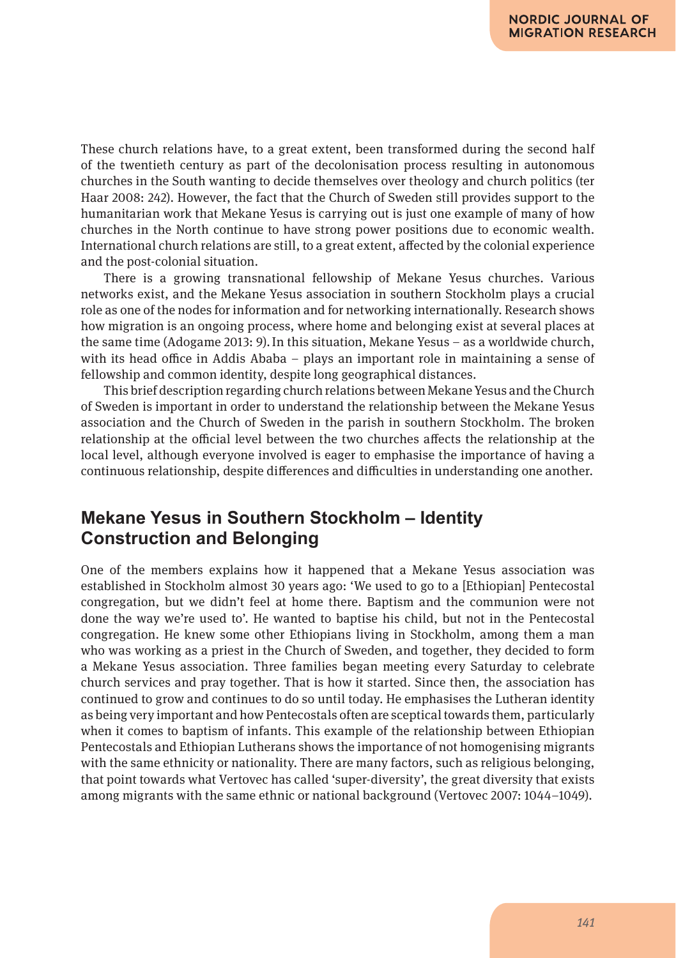These church relations have, to a great extent, been transformed during the second half of the twentieth century as part of the decolonisation process resulting in autonomous churches in the South wanting to decide themselves over theology and church politics (ter Haar 2008: 242). However, the fact that the Church of Sweden still provides support to the humanitarian work that Mekane Yesus is carrying out is just one example of many of how churches in the North continue to have strong power positions due to economic wealth. International church relations are still, to a great extent, affected by the colonial experience and the post-colonial situation.

There is a growing transnational fellowship of Mekane Yesus churches. Various networks exist, and the Mekane Yesus association in southern Stockholm plays a crucial role as one of the nodes for information and for networking internationally. Research shows how migration is an ongoing process, where home and belonging exist at several places at the same time (Adogame 2013: 9).In this situation, Mekane Yesus – as a worldwide church, with its head office in Addis Ababa – plays an important role in maintaining a sense of fellowship and common identity, despite long geographical distances.

This brief description regarding church relations between Mekane Yesus and the Church of Sweden is important in order to understand the relationship between the Mekane Yesus association and the Church of Sweden in the parish in southern Stockholm. The broken relationship at the official level between the two churches affects the relationship at the local level, although everyone involved is eager to emphasise the importance of having a continuous relationship, despite differences and difficulties in understanding one another.

# **Mekane Yesus in Southern Stockholm – Identity Construction and Belonging**

One of the members explains how it happened that a Mekane Yesus association was established in Stockholm almost 30 years ago: 'We used to go to a [Ethiopian] Pentecostal congregation, but we didn't feel at home there. Baptism and the communion were not done the way we're used to'. He wanted to baptise his child, but not in the Pentecostal congregation. He knew some other Ethiopians living in Stockholm, among them a man who was working as a priest in the Church of Sweden, and together, they decided to form a Mekane Yesus association. Three families began meeting every Saturday to celebrate church services and pray together. That is how it started. Since then, the association has continued to grow and continues to do so until today. He emphasises the Lutheran identity as being very important and how Pentecostals often are sceptical towards them, particularly when it comes to baptism of infants. This example of the relationship between Ethiopian Pentecostals and Ethiopian Lutherans shows the importance of not homogenising migrants with the same ethnicity or nationality. There are many factors, such as religious belonging, that point towards what Vertovec has called 'super-diversity', the great diversity that exists among migrants with the same ethnic or national background (Vertovec 2007: 1044–1049).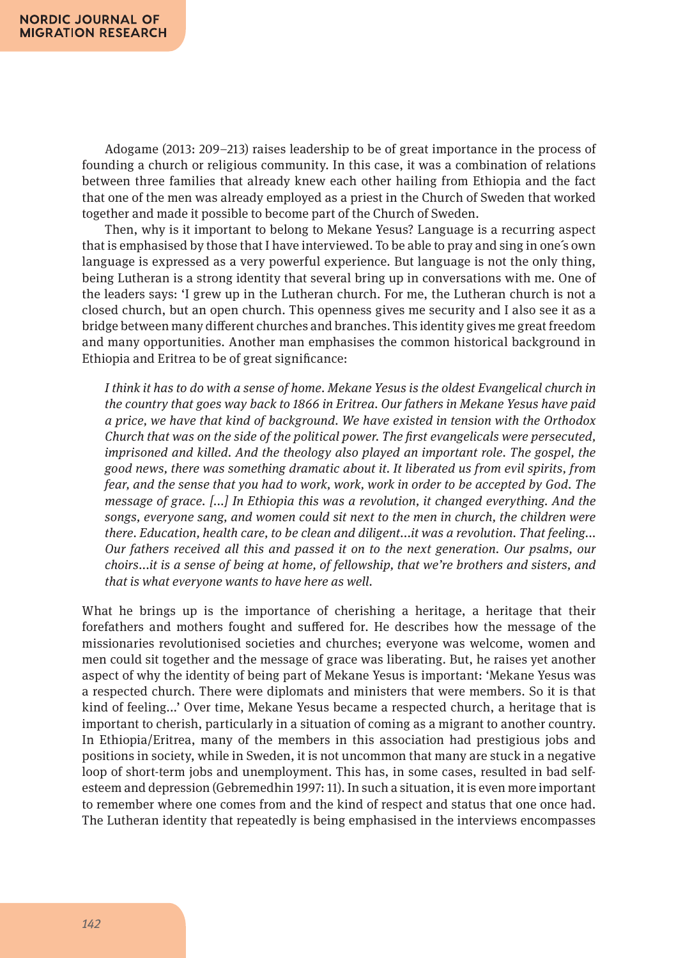Adogame (2013: 209–213) raises leadership to be of great importance in the process of founding a church or religious community. In this case, it was a combination of relations between three families that already knew each other hailing from Ethiopia and the fact that one of the men was already employed as a priest in the Church of Sweden that worked together and made it possible to become part of the Church of Sweden.

Then, why is it important to belong to Mekane Yesus? Language is a recurring aspect that is emphasised by those that I have interviewed. To be able to pray and sing in one´s own language is expressed as a very powerful experience. But language is not the only thing, being Lutheran is a strong identity that several bring up in conversations with me. One of the leaders says: 'I grew up in the Lutheran church. For me, the Lutheran church is not a closed church, but an open church. This openness gives me security and I also see it as a bridge between many different churches and branches. This identity gives me great freedom and many opportunities. Another man emphasises the common historical background in Ethiopia and Eritrea to be of great significance:

*I think it has to do with a sense of home. Mekane Yesus is the oldest Evangelical church in the country that goes way back to 1866 in Eritrea. Our fathers in Mekane Yesus have paid a price, we have that kind of background. We have existed in tension with the Orthodox Church that was on the side of the political power. The first evangelicals were persecuted, imprisoned and killed. And the theology also played an important role. The gospel, the good news, there was something dramatic about it. It liberated us from evil spirits, from fear, and the sense that you had to work, work, work in order to be accepted by God. The message of grace. [*...*] In Ethiopia this was a revolution, it changed everything. And the songs, everyone sang, and women could sit next to the men in church, the children were there. Education, health care, to be clean and diligent*...*it was a revolution. That feeling*... *Our fathers received all this and passed it on to the next generation. Our psalms, our choirs*...*it is a sense of being at home, of fellowship, that we're brothers and sisters, and that is what everyone wants to have here as well.*

What he brings up is the importance of cherishing a heritage, a heritage that their forefathers and mothers fought and suffered for. He describes how the message of the missionaries revolutionised societies and churches; everyone was welcome, women and men could sit together and the message of grace was liberating. But, he raises yet another aspect of why the identity of being part of Mekane Yesus is important: 'Mekane Yesus was a respected church. There were diplomats and ministers that were members. So it is that kind of feeling...' Over time, Mekane Yesus became a respected church, a heritage that is important to cherish, particularly in a situation of coming as a migrant to another country. In Ethiopia/Eritrea, many of the members in this association had prestigious jobs and positions in society, while in Sweden, it is not uncommon that many are stuck in a negative loop of short-term jobs and unemployment. This has, in some cases, resulted in bad selfesteem and depression (Gebremedhin 1997: 11). In such a situation, it is even more important to remember where one comes from and the kind of respect and status that one once had. The Lutheran identity that repeatedly is being emphasised in the interviews encompasses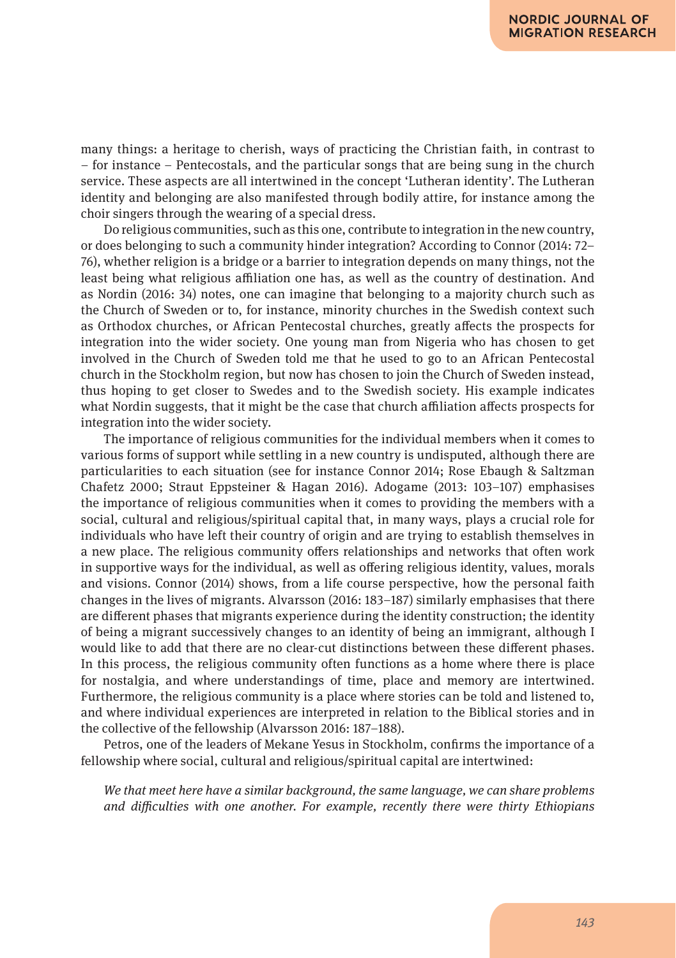many things: a heritage to cherish, ways of practicing the Christian faith, in contrast to – for instance – Pentecostals, and the particular songs that are being sung in the church service. These aspects are all intertwined in the concept 'Lutheran identity'. The Lutheran identity and belonging are also manifested through bodily attire, for instance among the choir singers through the wearing of a special dress.

Do religious communities, such as this one, contribute to integration in the new country, or does belonging to such a community hinder integration? According to Connor (2014: 72– 76), whether religion is a bridge or a barrier to integration depends on many things, not the least being what religious affiliation one has, as well as the country of destination. And as Nordin (2016: 34) notes, one can imagine that belonging to a majority church such as the Church of Sweden or to, for instance, minority churches in the Swedish context such as Orthodox churches, or African Pentecostal churches, greatly affects the prospects for integration into the wider society. One young man from Nigeria who has chosen to get involved in the Church of Sweden told me that he used to go to an African Pentecostal church in the Stockholm region, but now has chosen to join the Church of Sweden instead, thus hoping to get closer to Swedes and to the Swedish society. His example indicates what Nordin suggests, that it might be the case that church affiliation affects prospects for integration into the wider society.

The importance of religious communities for the individual members when it comes to various forms of support while settling in a new country is undisputed, although there are particularities to each situation (see for instance Connor 2014; Rose Ebaugh & Saltzman Chafetz 2000; Straut Eppsteiner & Hagan 2016). Adogame (2013: 103–107) emphasises the importance of religious communities when it comes to providing the members with a social, cultural and religious/spiritual capital that, in many ways, plays a crucial role for individuals who have left their country of origin and are trying to establish themselves in a new place. The religious community offers relationships and networks that often work in supportive ways for the individual, as well as offering religious identity, values, morals and visions. Connor (2014) shows, from a life course perspective, how the personal faith changes in the lives of migrants. Alvarsson (2016: 183–187) similarly emphasises that there are different phases that migrants experience during the identity construction; the identity of being a migrant successively changes to an identity of being an immigrant, although I would like to add that there are no clear-cut distinctions between these different phases. In this process, the religious community often functions as a home where there is place for nostalgia, and where understandings of time, place and memory are intertwined. Furthermore, the religious community is a place where stories can be told and listened to, and where individual experiences are interpreted in relation to the Biblical stories and in the collective of the fellowship (Alvarsson 2016: 187–188).

Petros, one of the leaders of Mekane Yesus in Stockholm, confirms the importance of a fellowship where social, cultural and religious/spiritual capital are intertwined:

*We that meet here have a similar background, the same language, we can share problems and difficulties with one another. For example, recently there were thirty Ethiopians*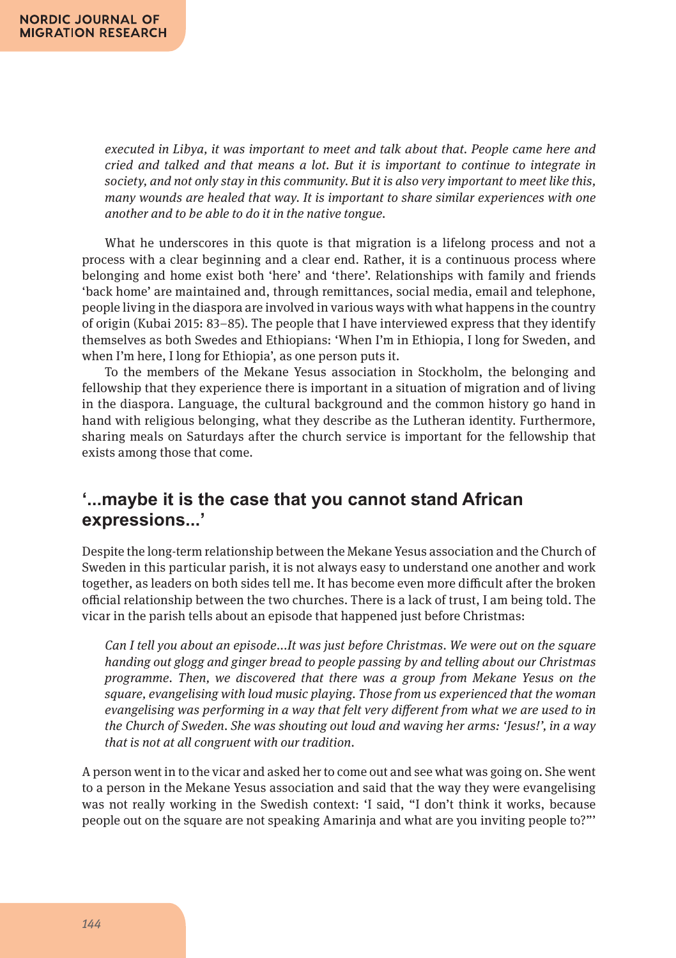*executed in Libya, it was important to meet and talk about that. People came here and cried and talked and that means a lot. But it is important to continue to integrate in society, and not only stay in this community. But it is also very important to meet like this, many wounds are healed that way. It is important to share similar experiences with one another and to be able to do it in the native tongue.*

What he underscores in this quote is that migration is a lifelong process and not a process with a clear beginning and a clear end. Rather, it is a continuous process where belonging and home exist both 'here' and 'there'. Relationships with family and friends 'back home' are maintained and, through remittances, social media, email and telephone, people living in the diaspora are involved in various ways with what happens in the country of origin (Kubai 2015: 83–85). The people that I have interviewed express that they identify themselves as both Swedes and Ethiopians: 'When I'm in Ethiopia, I long for Sweden, and when I'm here, I long for Ethiopia', as one person puts it.

To the members of the Mekane Yesus association in Stockholm, the belonging and fellowship that they experience there is important in a situation of migration and of living in the diaspora. Language, the cultural background and the common history go hand in hand with religious belonging, what they describe as the Lutheran identity. Furthermore, sharing meals on Saturdays after the church service is important for the fellowship that exists among those that come.

# **'...maybe it is the case that you cannot stand African expressions...'**

Despite the long-term relationship between the Mekane Yesus association and the Church of Sweden in this particular parish, it is not always easy to understand one another and work together, as leaders on both sides tell me. It has become even more difficult after the broken official relationship between the two churches. There is a lack of trust, I am being told. The vicar in the parish tells about an episode that happened just before Christmas:

*Can I tell you about an episode*...*It was just before Christmas. We were out on the square handing out glogg and ginger bread to people passing by and telling about our Christmas programme. Then, we discovered that there was a group from Mekane Yesus on the square, evangelising with loud music playing. Those from us experienced that the woman evangelising was performing in a way that felt very different from what we are used to in the Church of Sweden. She was shouting out loud and waving her arms: 'Jesus!', in a way that is not at all congruent with our tradition.*

A person went in to the vicar and asked her to come out and see what was going on. She went to a person in the Mekane Yesus association and said that the way they were evangelising was not really working in the Swedish context: 'I said, "I don't think it works, because people out on the square are not speaking Amarinja and what are you inviting people to?"'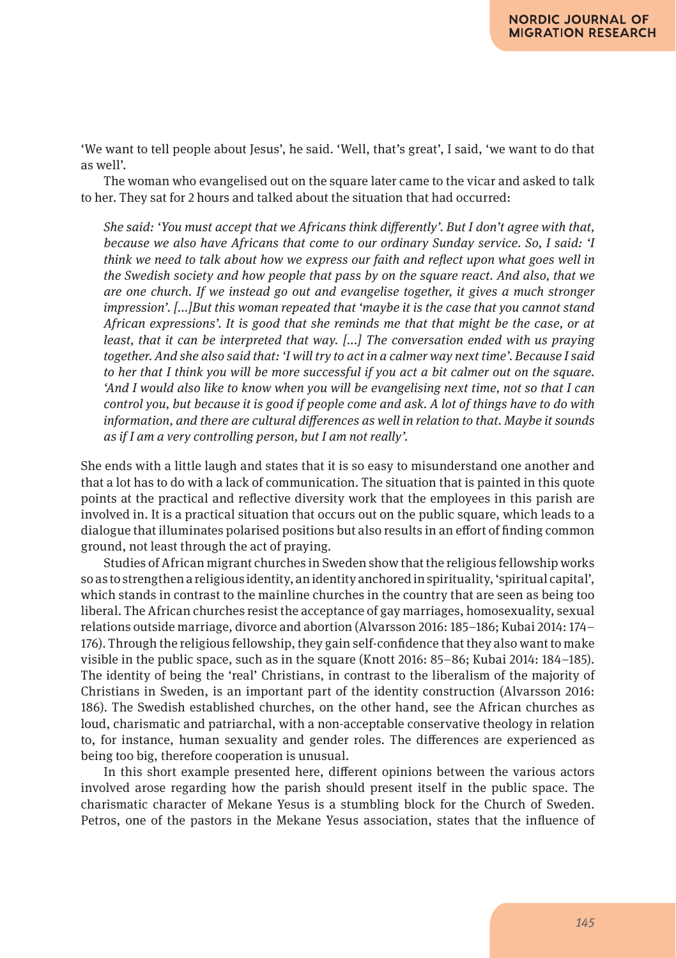'We want to tell people about Jesus', he said. 'Well, that's great', I said, 'we want to do that as well'.

The woman who evangelised out on the square later came to the vicar and asked to talk to her. They sat for 2 hours and talked about the situation that had occurred:

*She said: 'You must accept that we Africans think differently'. But I don't agree with that, because we also have Africans that come to our ordinary Sunday service. So, I said: 'I think we need to talk about how we express our faith and reflect upon what goes well in the Swedish society and how people that pass by on the square react. And also, that we are one church. If we instead go out and evangelise together, it gives a much stronger impression'. [...]But this woman repeated that 'maybe it is the case that you cannot stand African expressions'. It is good that she reminds me that that might be the case, or at least, that it can be interpreted that way. [*...*] The conversation ended with us praying together. And she also said that: 'I will try to act in a calmer way next time'. Because I said to her that I think you will be more successful if you act a bit calmer out on the square. 'And I would also like to know when you will be evangelising next time, not so that I can control you, but because it is good if people come and ask. A lot of things have to do with information, and there are cultural differences as well in relation to that. Maybe it sounds as if I am a very controlling person, but I am not really'.*

She ends with a little laugh and states that it is so easy to misunderstand one another and that a lot has to do with a lack of communication. The situation that is painted in this quote points at the practical and reflective diversity work that the employees in this parish are involved in. It is a practical situation that occurs out on the public square, which leads to a dialogue that illuminates polarised positions but also results in an effort of finding common ground, not least through the act of praying.

Studies of African migrant churches in Sweden show that the religious fellowship works so as to strengthen a religious identity, an identity anchored in spirituality, 'spiritual capital', which stands in contrast to the mainline churches in the country that are seen as being too liberal. The African churches resist the acceptance of gay marriages, homosexuality, sexual relations outside marriage, divorce and abortion (Alvarsson 2016: 185–186; Kubai 2014: 174– 176). Through the religious fellowship, they gain self-confidence that they also want to make visible in the public space, such as in the square (Knott 2016: 85–86; Kubai 2014: 184–185). The identity of being the 'real' Christians, in contrast to the liberalism of the majority of Christians in Sweden, is an important part of the identity construction (Alvarsson 2016: 186). The Swedish established churches, on the other hand, see the African churches as loud, charismatic and patriarchal, with a non-acceptable conservative theology in relation to, for instance, human sexuality and gender roles. The differences are experienced as being too big, therefore cooperation is unusual.

In this short example presented here, different opinions between the various actors involved arose regarding how the parish should present itself in the public space. The charismatic character of Mekane Yesus is a stumbling block for the Church of Sweden. Petros, one of the pastors in the Mekane Yesus association, states that the influence of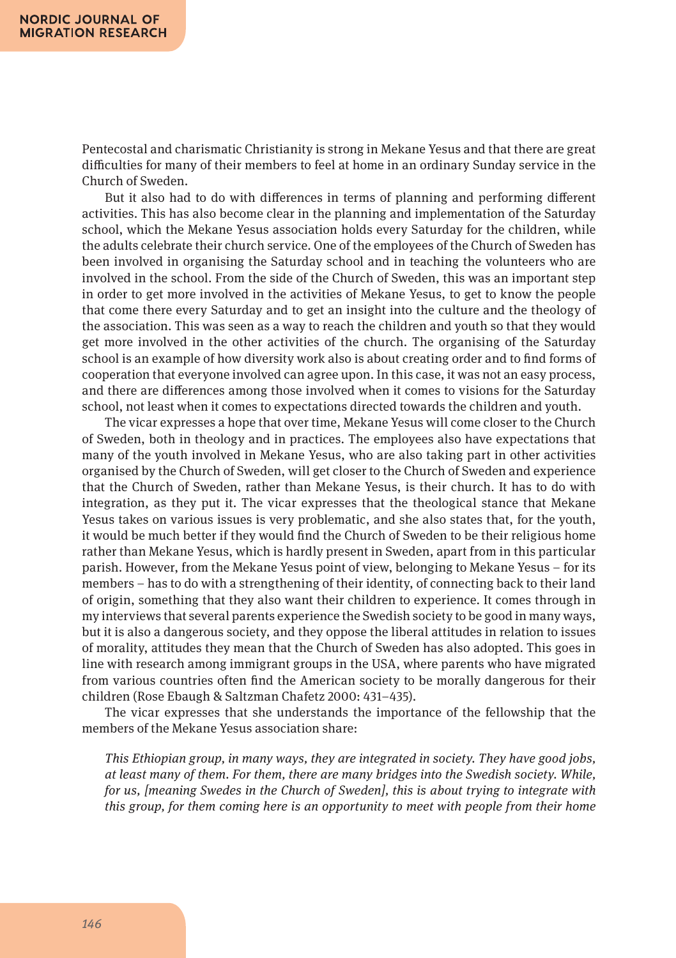Pentecostal and charismatic Christianity is strong in Mekane Yesus and that there are great difficulties for many of their members to feel at home in an ordinary Sunday service in the Church of Sweden.

But it also had to do with differences in terms of planning and performing different activities. This has also become clear in the planning and implementation of the Saturday school, which the Mekane Yesus association holds every Saturday for the children, while the adults celebrate their church service. One of the employees of the Church of Sweden has been involved in organising the Saturday school and in teaching the volunteers who are involved in the school. From the side of the Church of Sweden, this was an important step in order to get more involved in the activities of Mekane Yesus, to get to know the people that come there every Saturday and to get an insight into the culture and the theology of the association. This was seen as a way to reach the children and youth so that they would get more involved in the other activities of the church. The organising of the Saturday school is an example of how diversity work also is about creating order and to find forms of cooperation that everyone involved can agree upon. In this case, it was not an easy process, and there are differences among those involved when it comes to visions for the Saturday school, not least when it comes to expectations directed towards the children and youth.

The vicar expresses a hope that over time, Mekane Yesus will come closer to the Church of Sweden, both in theology and in practices. The employees also have expectations that many of the youth involved in Mekane Yesus, who are also taking part in other activities organised by the Church of Sweden, will get closer to the Church of Sweden and experience that the Church of Sweden, rather than Mekane Yesus, is their church. It has to do with integration, as they put it. The vicar expresses that the theological stance that Mekane Yesus takes on various issues is very problematic, and she also states that, for the youth, it would be much better if they would find the Church of Sweden to be their religious home rather than Mekane Yesus, which is hardly present in Sweden, apart from in this particular parish. However, from the Mekane Yesus point of view, belonging to Mekane Yesus – for its members – has to do with a strengthening of their identity, of connecting back to their land of origin, something that they also want their children to experience. It comes through in my interviews that several parents experience the Swedish society to be good in many ways, but it is also a dangerous society, and they oppose the liberal attitudes in relation to issues of morality, attitudes they mean that the Church of Sweden has also adopted. This goes in line with research among immigrant groups in the USA, where parents who have migrated from various countries often find the American society to be morally dangerous for their children (Rose Ebaugh & Saltzman Chafetz 2000: 431–435).

The vicar expresses that she understands the importance of the fellowship that the members of the Mekane Yesus association share:

*This Ethiopian group, in many ways, they are integrated in society. They have good jobs, at least many of them. For them, there are many bridges into the Swedish society. While, for us, [meaning Swedes in the Church of Sweden], this is about trying to integrate with this group, for them coming here is an opportunity to meet with people from their home*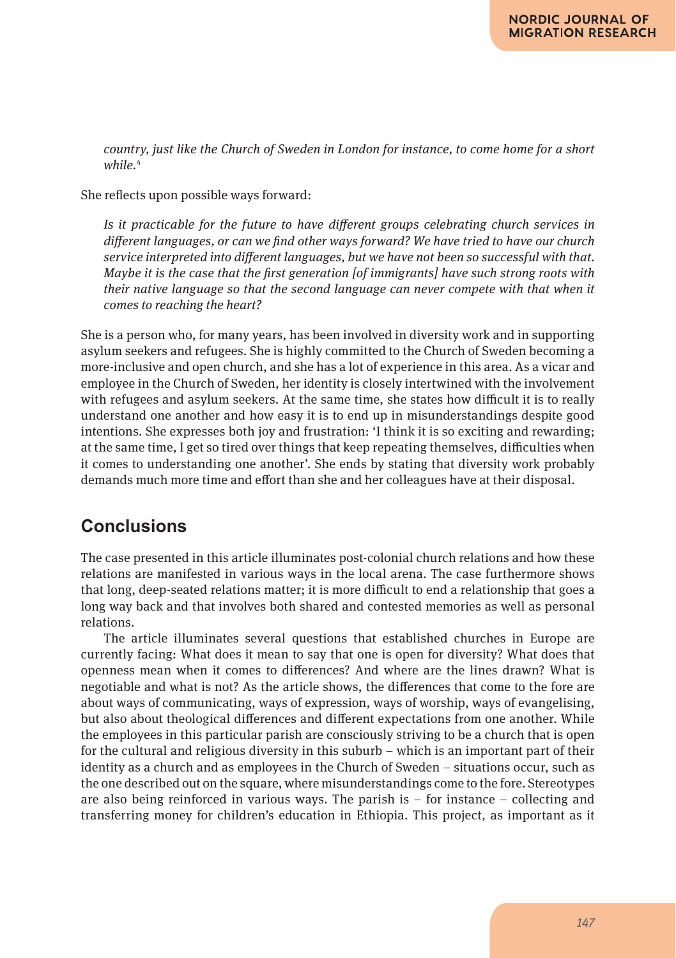*country, just like the Church of Sweden in London for instance, to come home for a short while.*<sup>4</sup>

She reflects upon possible ways forward:

*Is it practicable for the future to have different groups celebrating church services in different languages, or can we find other ways forward? We have tried to have our church service interpreted into different languages, but we have not been so successful with that. Maybe it is the case that the first generation [of immigrants] have such strong roots with their native language so that the second language can never compete with that when it comes to reaching the heart?*

She is a person who, for many years, has been involved in diversity work and in supporting asylum seekers and refugees. She is highly committed to the Church of Sweden becoming a more-inclusive and open church, and she has a lot of experience in this area. As a vicar and employee in the Church of Sweden, her identity is closely intertwined with the involvement with refugees and asylum seekers. At the same time, she states how difficult it is to really understand one another and how easy it is to end up in misunderstandings despite good intentions. She expresses both joy and frustration: 'I think it is so exciting and rewarding; at the same time, I get so tired over things that keep repeating themselves, difficulties when it comes to understanding one another'. She ends by stating that diversity work probably demands much more time and effort than she and her colleagues have at their disposal.

# **Conclusions**

The case presented in this article illuminates post-colonial church relations and how these relations are manifested in various ways in the local arena. The case furthermore shows that long, deep-seated relations matter; it is more difficult to end a relationship that goes a long way back and that involves both shared and contested memories as well as personal relations.

The article illuminates several questions that established churches in Europe are currently facing: What does it mean to say that one is open for diversity? What does that openness mean when it comes to differences? And where are the lines drawn? What is negotiable and what is not? As the article shows, the differences that come to the fore are about ways of communicating, ways of expression, ways of worship, ways of evangelising, but also about theological differences and different expectations from one another. While the employees in this particular parish are consciously striving to be a church that is open for the cultural and religious diversity in this suburb – which is an important part of their identity as a church and as employees in the Church of Sweden – situations occur, such as the one described out on the square, where misunderstandings come to the fore. Stereotypes are also being reinforced in various ways. The parish is  $-$  for instance  $-$  collecting and transferring money for children's education in Ethiopia. This project, as important as it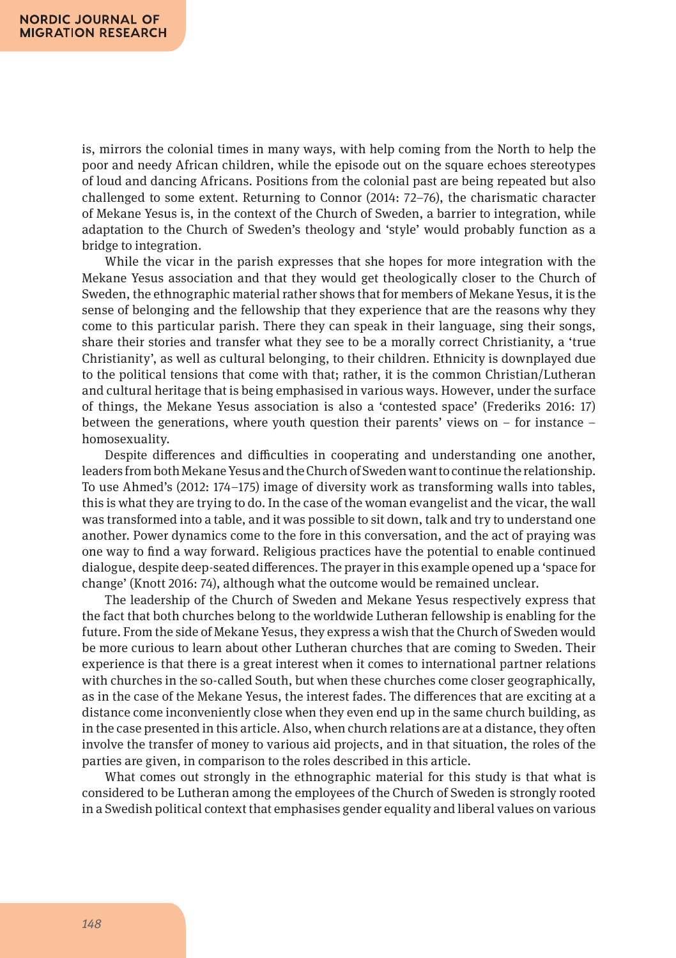is, mirrors the colonial times in many ways, with help coming from the North to help the poor and needy African children, while the episode out on the square echoes stereotypes of loud and dancing Africans. Positions from the colonial past are being repeated but also challenged to some extent. Returning to Connor (2014: 72–76), the charismatic character of Mekane Yesus is, in the context of the Church of Sweden, a barrier to integration, while adaptation to the Church of Sweden's theology and 'style' would probably function as a bridge to integration.

While the vicar in the parish expresses that she hopes for more integration with the Mekane Yesus association and that they would get theologically closer to the Church of Sweden, the ethnographic material rather shows that for members of Mekane Yesus, it is the sense of belonging and the fellowship that they experience that are the reasons why they come to this particular parish. There they can speak in their language, sing their songs, share their stories and transfer what they see to be a morally correct Christianity, a 'true Christianity', as well as cultural belonging, to their children. Ethnicity is downplayed due to the political tensions that come with that; rather, it is the common Christian/Lutheran and cultural heritage that is being emphasised in various ways. However, under the surface of things, the Mekane Yesus association is also a 'contested space' (Frederiks 2016: 17) between the generations, where youth question their parents' views on  $-$  for instance  $$ homosexuality.

Despite differences and difficulties in cooperating and understanding one another, leaders from both Mekane Yesus and the Church of Sweden want to continue the relationship. To use Ahmed's (2012: 174–175) image of diversity work as transforming walls into tables, this is what they are trying to do. In the case of the woman evangelist and the vicar, the wall was transformed into a table, and it was possible to sit down, talk and try to understand one another. Power dynamics come to the fore in this conversation, and the act of praying was one way to find a way forward. Religious practices have the potential to enable continued dialogue, despite deep-seated differences. The prayer in this example opened up a 'space for change' (Knott 2016: 74), although what the outcome would be remained unclear.

The leadership of the Church of Sweden and Mekane Yesus respectively express that the fact that both churches belong to the worldwide Lutheran fellowship is enabling for the future. From the side of Mekane Yesus, they express a wish that the Church of Sweden would be more curious to learn about other Lutheran churches that are coming to Sweden. Their experience is that there is a great interest when it comes to international partner relations with churches in the so-called South, but when these churches come closer geographically, as in the case of the Mekane Yesus, the interest fades. The differences that are exciting at a distance come inconveniently close when they even end up in the same church building, as in the case presented in this article. Also, when church relations are at a distance, they often involve the transfer of money to various aid projects, and in that situation, the roles of the parties are given, in comparison to the roles described in this article.

What comes out strongly in the ethnographic material for this study is that what is considered to be Lutheran among the employees of the Church of Sweden is strongly rooted in a Swedish political context that emphasises gender equality and liberal values on various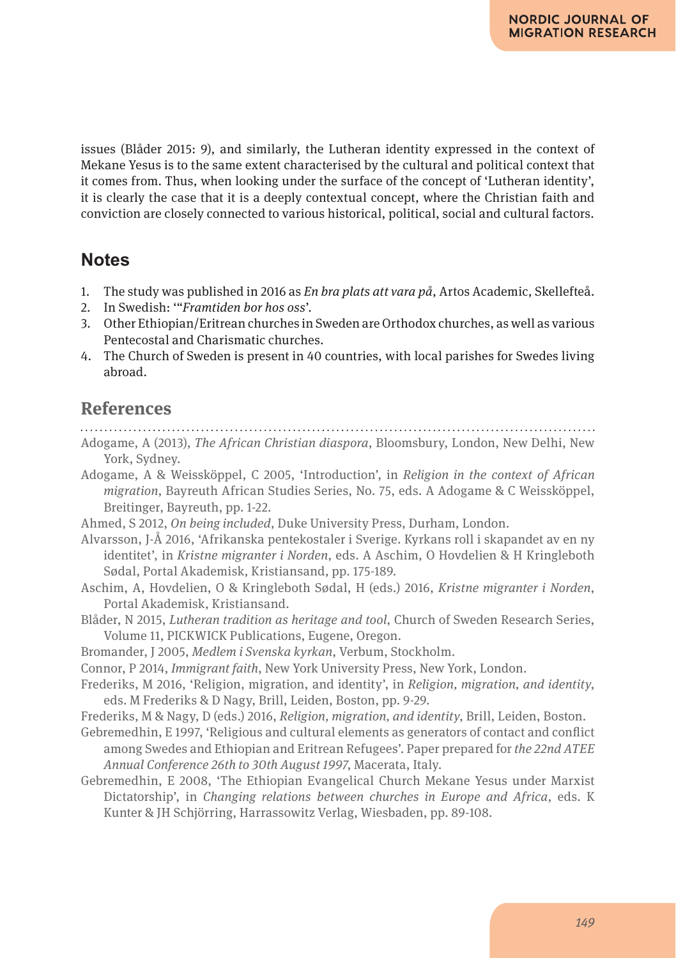issues (Blåder 2015: 9), and similarly, the Lutheran identity expressed in the context of Mekane Yesus is to the same extent characterised by the cultural and political context that it comes from. Thus, when looking under the surface of the concept of 'Lutheran identity', it is clearly the case that it is a deeply contextual concept, where the Christian faith and conviction are closely connected to various historical, political, social and cultural factors.

# **Notes**

- 1. The study was published in 2016 as *En bra plats att vara på*, Artos Academic, Skellefteå.
- 2. In Swedish: '"*Framtiden bor hos oss*'.
- 3. Other Ethiopian/Eritrean churches in Sweden are Orthodox churches, as well as various Pentecostal and Charismatic churches.
- 4. The Church of Sweden is present in 40 countries, with local parishes for Swedes living abroad.

# **References**

- Adogame, A (2013), *The African Christian diaspora*, Bloomsbury, London, New Delhi, New York, Sydney.
- Adogame, A & Weissköppel, C 2005, 'Introduction', in *Religion in the context of African migration*, Bayreuth African Studies Series, No. 75, eds. A Adogame & C Weissköppel, Breitinger, Bayreuth, pp. 1-22.
- Ahmed, S 2012, *On being included*, Duke University Press, Durham, London.
- Alvarsson, J-Å 2016, 'Afrikanska pentekostaler i Sverige. Kyrkans roll i skapandet av en ny identitet', in *Kristne migranter i Norden*, eds. A Aschim, O Hovdelien & H Kringleboth Sødal, Portal Akademisk, Kristiansand, pp. 175-189.
- Aschim, A, Hovdelien, O & Kringleboth Sødal, H (eds.) 2016, *Kristne migranter i Norden*, Portal Akademisk, Kristiansand.
- Blåder, N 2015, *Lutheran tradition as heritage and tool*, Church of Sweden Research Series, Volume 11, PICKWICK Publications, Eugene, Oregon.
- Bromander, J 2005, *Medlem i Svenska kyrkan*, Verbum, Stockholm.
- Connor, P 2014, *Immigrant faith*, New York University Press, New York, London.
- Frederiks, M 2016, 'Religion, migration, and identity', in *Religion, migration, and identity*, eds. M Frederiks & D Nagy, Brill, Leiden, Boston, pp. 9-29.
- Frederiks, M & Nagy, D (eds.) 2016, *Religion, migration, and identity*, Brill, Leiden, Boston.
- Gebremedhin, E 1997, 'Religious and cultural elements as generators of contact and conflict among Swedes and Ethiopian and Eritrean Refugees'. Paper prepared for *the 22nd ATEE Annual Conference 26th to 30th August 1997*, Macerata, Italy.
- Gebremedhin, E 2008, 'The Ethiopian Evangelical Church Mekane Yesus under Marxist Dictatorship', in *Changing relations between churches in Europe and Africa*, eds. K Kunter & JH Schjörring, Harrassowitz Verlag, Wiesbaden, pp. 89-108.